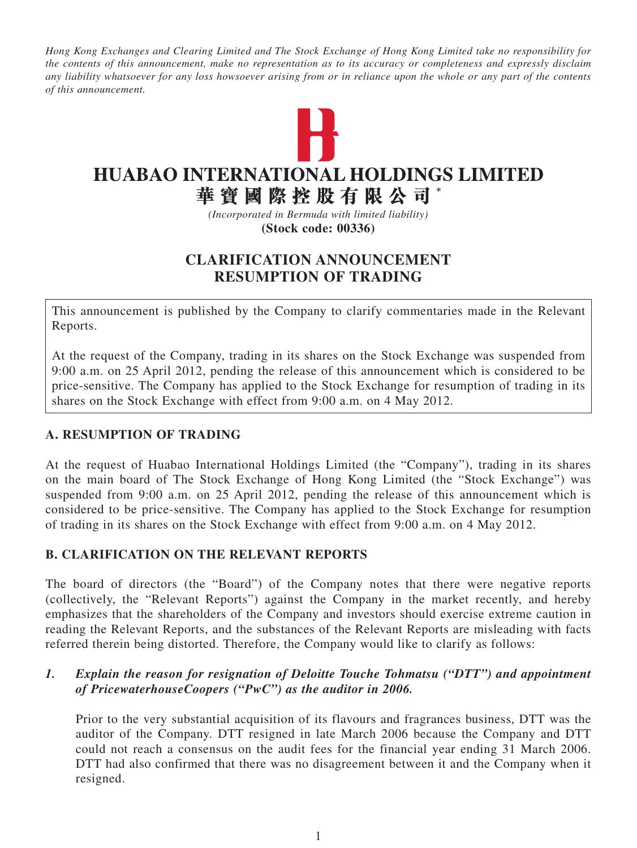*Hong Kong Exchanges and Clearing Limited and The Stock Exchange of Hong Kong Limited take no responsibility for the contents of this announcement, make no representation as to its accuracy or completeness and expressly disclaim any liability whatsoever for any loss howsoever arising from or in reliance upon the whole or any part of the contents of this announcement.*



# **HUABAO INTERNATIONAL HOLDINGS LIMITED**

華寶國際控股有限公司

*(Incorporated in Bermuda with limited liability)* **(Stock code: 00336)**

# **Clarification Announcement Resumption of Trading**

This announcement is published by the Company to clarify commentaries made in the Relevant Reports.

At the request of the Company, trading in its shares on the Stock Exchange was suspended from 9:00 a.m. on 25 April 2012, pending the release of this announcement which is considered to be price-sensitive. The Company has applied to the Stock Exchange for resumption of trading in its shares on the Stock Exchange with effect from 9:00 a.m. on 4 May 2012.

## **A. RESUMPTION OF TRADING**

At the request of Huabao International Holdings Limited (the "Company"), trading in its shares on the main board of The Stock Exchange of Hong Kong Limited (the "Stock Exchange") was suspended from 9:00 a.m. on 25 April 2012, pending the release of this announcement which is considered to be price-sensitive. The Company has applied to the Stock Exchange for resumption of trading in its shares on the Stock Exchange with effect from 9:00 a.m. on 4 May 2012.

## **B. CLARIFICATION ON the RELEVANT REPORTS**

The board of directors (the "Board") of the Company notes that there were negative reports (collectively, the "Relevant Reports") against the Company in the market recently, and hereby emphasizes that the shareholders of the Company and investors should exercise extreme caution in reading the Relevant Reports, and the substances of the Relevant Reports are misleading with facts referred therein being distorted. Therefore, the Company would like to clarify as follows:

#### *1. Explain the reason for resignation of Deloitte Touche Tohmatsu ("DTT") and appointment of PricewaterhouseCoopers ("PwC") as the auditor in 2006.*

Prior to the very substantial acquisition of its flavours and fragrances business, DTT was the auditor of the Company. DTT resigned in late March 2006 because the Company and DTT could not reach a consensus on the audit fees for the financial year ending 31 March 2006. DTT had also confirmed that there was no disagreement between it and the Company when it resigned.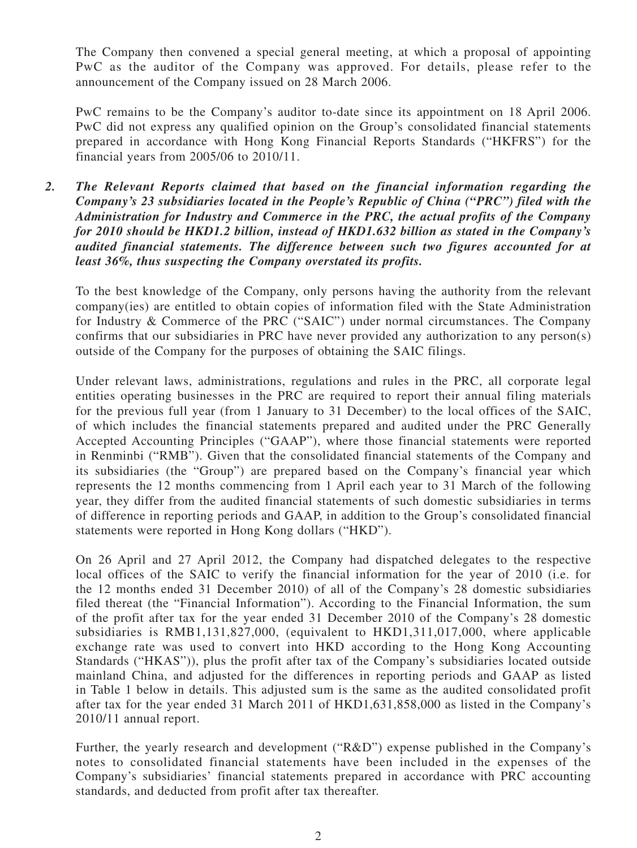The Company then convened a special general meeting, at which a proposal of appointing PwC as the auditor of the Company was approved. For details, please refer to the announcement of the Company issued on 28 March 2006.

PwC remains to be the Company's auditor to-date since its appointment on 18 April 2006. PwC did not express any qualified opinion on the Group's consolidated financial statements prepared in accordance with Hong Kong Financial Reports Standards ("HKFRS") for the financial years from 2005/06 to 2010/11.

*2. The Relevant Reports claimed that based on the financial information regarding the Company's 23 subsidiaries located in the People's Republic of China ("PRC") filed with the Administration for Industry and Commerce in the PRC, the actual profits of the Company for 2010 should be HKD1.2 billion, instead of HKD1.632 billion as stated in the Company's audited financial statements. The difference between such two figures accounted for at least 36%, thus suspecting the Company overstated its profits.*

To the best knowledge of the Company, only persons having the authority from the relevant company(ies) are entitled to obtain copies of information filed with the State Administration for Industry & Commerce of the PRC ("SAIC") under normal circumstances. The Company confirms that our subsidiaries in PRC have never provided any authorization to any person(s) outside of the Company for the purposes of obtaining the SAIC filings.

Under relevant laws, administrations, regulations and rules in the PRC, all corporate legal entities operating businesses in the PRC are required to report their annual filing materials for the previous full year (from 1 January to 31 December) to the local offices of the SAIC, of which includes the financial statements prepared and audited under the PRC Generally Accepted Accounting Principles ("GAAP"), where those financial statements were reported in Renminbi ("RMB"). Given that the consolidated financial statements of the Company and its subsidiaries (the "Group") are prepared based on the Company's financial year which represents the 12 months commencing from 1 April each year to 31 March of the following year, they differ from the audited financial statements of such domestic subsidiaries in terms of difference in reporting periods and GAAP, in addition to the Group's consolidated financial statements were reported in Hong Kong dollars ("HKD").

On 26 April and 27 April 2012, the Company had dispatched delegates to the respective local offices of the SAIC to verify the financial information for the year of 2010 (i.e. for the 12 months ended 31 December 2010) of all of the Company's 28 domestic subsidiaries filed thereat (the "Financial Information"). According to the Financial Information, the sum of the profit after tax for the year ended 31 December 2010 of the Company's 28 domestic subsidiaries is RMB1,131,827,000, (equivalent to HKD1,311,017,000, where applicable exchange rate was used to convert into HKD according to the Hong Kong Accounting Standards ("HKAS")), plus the profit after tax of the Company's subsidiaries located outside mainland China, and adjusted for the differences in reporting periods and GAAP as listed in Table 1 below in details. This adjusted sum is the same as the audited consolidated profit after tax for the year ended 31 March 2011 of HKD1,631,858,000 as listed in the Company's 2010/11 annual report.

Further, the yearly research and development ("R&D") expense published in the Company's notes to consolidated financial statements have been included in the expenses of the Company's subsidiaries' financial statements prepared in accordance with PRC accounting standards, and deducted from profit after tax thereafter.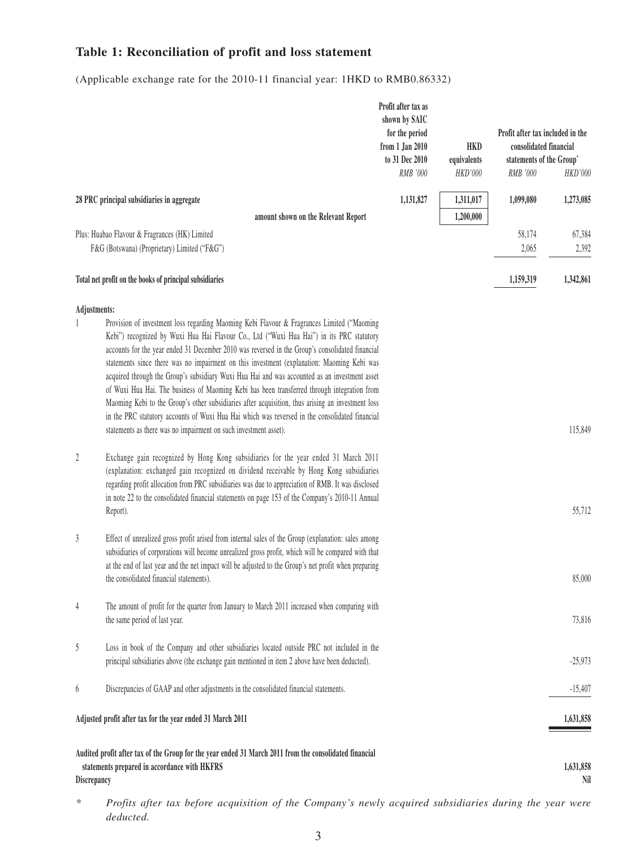# **Table 1: Reconciliation of profit and loss statement**

(Applicable exchange rate for the 2010-11 financial year: 1HKD to RMB0.86332)

|                                                            |                                                                                                                                                                                                                                                                                                                                                                                                                                                                                                                                                                                                      |                                     | Profit after tax as<br>shown by SAIC<br>for the period<br>from 1 Jan 2010<br>to 31 Dec 2010<br>RMB '000 | <b>HKD</b><br>equivalents<br><b>HKD'000</b> | Profit after tax included in the<br>consolidated financial<br>statements of the Group*<br>RMB '000 | HKD'000          |
|------------------------------------------------------------|------------------------------------------------------------------------------------------------------------------------------------------------------------------------------------------------------------------------------------------------------------------------------------------------------------------------------------------------------------------------------------------------------------------------------------------------------------------------------------------------------------------------------------------------------------------------------------------------------|-------------------------------------|---------------------------------------------------------------------------------------------------------|---------------------------------------------|----------------------------------------------------------------------------------------------------|------------------|
|                                                            | 28 PRC principal subsidiaries in aggregate                                                                                                                                                                                                                                                                                                                                                                                                                                                                                                                                                           |                                     | 1,131,827                                                                                               | 1,311,017                                   | 1,099,080                                                                                          | 1,273,085        |
|                                                            |                                                                                                                                                                                                                                                                                                                                                                                                                                                                                                                                                                                                      | amount shown on the Relevant Report |                                                                                                         | 1,200,000                                   |                                                                                                    |                  |
|                                                            | Plus: Huabao Flavour & Fragrances (HK) Limited<br>F&G (Botswana) (Proprietary) Limited ("F&G")                                                                                                                                                                                                                                                                                                                                                                                                                                                                                                       |                                     |                                                                                                         |                                             | 58,174<br>2,065                                                                                    | 67,384<br>2,392  |
|                                                            | Total net profit on the books of principal subsidiaries                                                                                                                                                                                                                                                                                                                                                                                                                                                                                                                                              |                                     |                                                                                                         |                                             | 1,159,319                                                                                          | 1,342,861        |
| Adjustments:                                               | Provision of investment loss regarding Maoming Kebi Flavour & Fragrances Limited ("Maoming<br>Kebi") recognized by Wuxi Hua Hai Flavour Co., Ltd ("Wuxi Hua Hai") in its PRC statutory                                                                                                                                                                                                                                                                                                                                                                                                               |                                     |                                                                                                         |                                             |                                                                                                    |                  |
|                                                            | accounts for the year ended 31 December 2010 was reversed in the Group's consolidated financial<br>statements since there was no impairment on this investment (explanation: Maoming Kebi was<br>acquired through the Group's subsidiary Wuxi Hua Hai and was accounted as an investment asset<br>of Wuxi Hua Hai. The business of Maoming Kebi has been transferred through integration from<br>Maoming Kebi to the Group's other subsidiaries after acquisition, thus arising an investment loss<br>in the PRC statutory accounts of Wuxi Hua Hai which was reversed in the consolidated financial |                                     |                                                                                                         |                                             |                                                                                                    |                  |
|                                                            | statements as there was no impairment on such investment asset).                                                                                                                                                                                                                                                                                                                                                                                                                                                                                                                                     |                                     |                                                                                                         |                                             |                                                                                                    | 115,849          |
| 2                                                          | Exchange gain recognized by Hong Kong subsidiaries for the year ended 31 March 2011<br>(explanation: exchanged gain recognized on dividend receivable by Hong Kong subsidiaries<br>regarding profit allocation from PRC subsidiaries was due to appreciation of RMB. It was disclosed<br>in note 22 to the consolidated financial statements on page 153 of the Company's 2010-11 Annual<br>Report).                                                                                                                                                                                                 |                                     |                                                                                                         |                                             |                                                                                                    | 55,712           |
| 3                                                          | Effect of unrealized gross profit arised from internal sales of the Group (explanation: sales among<br>subsidiaries of corporations will become unrealized gross profit, which will be compared with that<br>at the end of last year and the net impact will be adjusted to the Group's net profit when preparing<br>the consolidated financial statements).                                                                                                                                                                                                                                         |                                     |                                                                                                         |                                             |                                                                                                    | 85,000           |
| 4                                                          | The amount of profit for the quarter from January to March 2011 increased when comparing with<br>the same period of last year.                                                                                                                                                                                                                                                                                                                                                                                                                                                                       |                                     |                                                                                                         |                                             |                                                                                                    | 73,816           |
| 5                                                          | Loss in book of the Company and other subsidiaries located outside PRC not included in the<br>principal subsidiaries above (the exchange gain mentioned in item 2 above have been deducted).                                                                                                                                                                                                                                                                                                                                                                                                         |                                     |                                                                                                         |                                             |                                                                                                    | $-25,973$        |
| 6                                                          | Discrepancies of GAAP and other adjustments in the consolidated financial statements.                                                                                                                                                                                                                                                                                                                                                                                                                                                                                                                |                                     |                                                                                                         |                                             |                                                                                                    | $-15,407$        |
| Adjusted profit after tax for the year ended 31 March 2011 |                                                                                                                                                                                                                                                                                                                                                                                                                                                                                                                                                                                                      |                                     |                                                                                                         |                                             |                                                                                                    | 1,631,858        |
| Discrepancy                                                | Audited profit after tax of the Group for the year ended 31 March 2011 from the consolidated financial<br>statements prepared in accordance with HKFRS                                                                                                                                                                                                                                                                                                                                                                                                                                               |                                     |                                                                                                         |                                             |                                                                                                    | 1,631,858<br>Nil |

*\* Profits after tax before acquisition of the Company's newly acquired subsidiaries during the year were deducted.*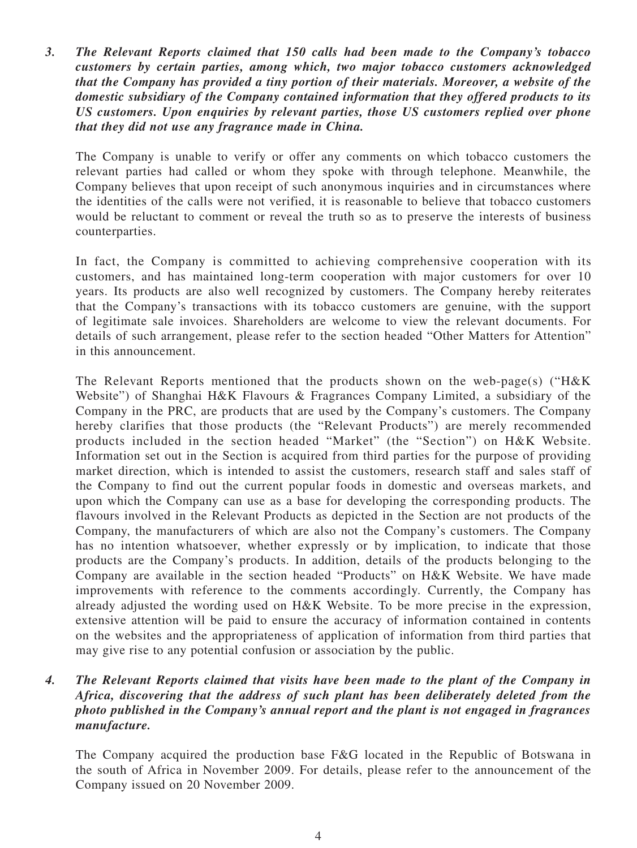*3. The Relevant Reports claimed that 150 calls had been made to the Company's tobacco customers by certain parties, among which, two major tobacco customers acknowledged that the Company has provided a tiny portion of their materials. Moreover, a website of the domestic subsidiary of the Company contained information that they offered products to its US customers. Upon enquiries by relevant parties, those US customers replied over phone that they did not use any fragrance made in China.*

The Company is unable to verify or offer any comments on which tobacco customers the relevant parties had called or whom they spoke with through telephone. Meanwhile, the Company believes that upon receipt of such anonymous inquiries and in circumstances where the identities of the calls were not verified, it is reasonable to believe that tobacco customers would be reluctant to comment or reveal the truth so as to preserve the interests of business counterparties.

In fact, the Company is committed to achieving comprehensive cooperation with its customers, and has maintained long-term cooperation with major customers for over 10 years. Its products are also well recognized by customers. The Company hereby reiterates that the Company's transactions with its tobacco customers are genuine, with the support of legitimate sale invoices. Shareholders are welcome to view the relevant documents. For details of such arrangement, please refer to the section headed "Other Matters for Attention" in this announcement.

The Relevant Reports mentioned that the products shown on the web-page(s) (" $H\&K$ Website") of Shanghai H&K Flavours & Fragrances Company Limited, a subsidiary of the Company in the PRC, are products that are used by the Company's customers. The Company hereby clarifies that those products (the "Relevant Products") are merely recommended products included in the section headed "Market" (the "Section") on H&K Website. Information set out in the Section is acquired from third parties for the purpose of providing market direction, which is intended to assist the customers, research staff and sales staff of the Company to find out the current popular foods in domestic and overseas markets, and upon which the Company can use as a base for developing the corresponding products. The flavours involved in the Relevant Products as depicted in the Section are not products of the Company, the manufacturers of which are also not the Company's customers. The Company has no intention whatsoever, whether expressly or by implication, to indicate that those products are the Company's products. In addition, details of the products belonging to the Company are available in the section headed "Products" on H&K Website. We have made improvements with reference to the comments accordingly. Currently, the Company has already adjusted the wording used on H&K Website. To be more precise in the expression, extensive attention will be paid to ensure the accuracy of information contained in contents on the websites and the appropriateness of application of information from third parties that may give rise to any potential confusion or association by the public.

#### *4. The Relevant Reports claimed that visits have been made to the plant of the Company in Africa, discovering that the address of such plant has been deliberately deleted from the photo published in the Company's annual report and the plant is not engaged in fragrances manufacture.*

The Company acquired the production base F&G located in the Republic of Botswana in the south of Africa in November 2009. For details, please refer to the announcement of the Company issued on 20 November 2009.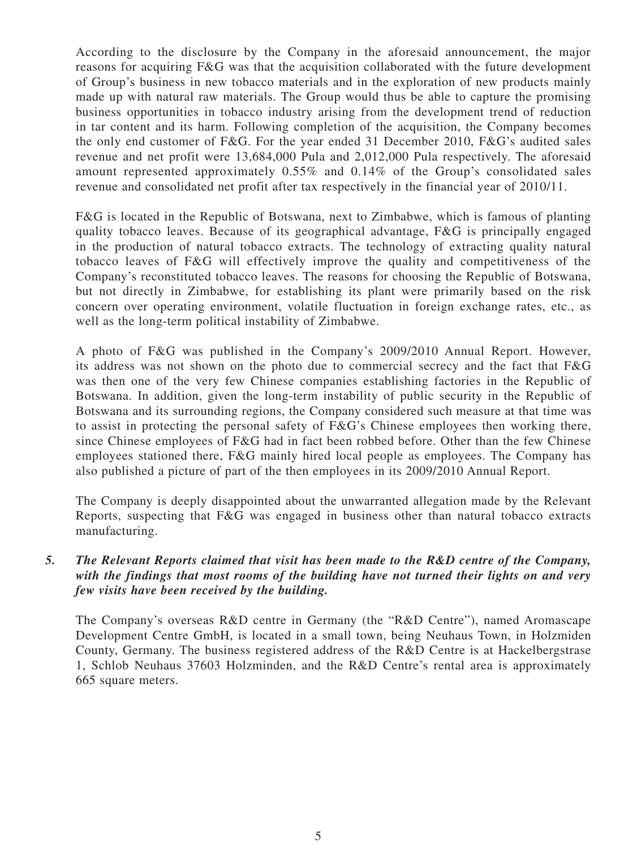According to the disclosure by the Company in the aforesaid announcement, the major reasons for acquiring F&G was that the acquisition collaborated with the future development of Group's business in new tobacco materials and in the exploration of new products mainly made up with natural raw materials. The Group would thus be able to capture the promising business opportunities in tobacco industry arising from the development trend of reduction in tar content and its harm. Following completion of the acquisition, the Company becomes the only end customer of F&G. For the year ended 31 December 2010, F&G's audited sales revenue and net profit were 13,684,000 Pula and 2,012,000 Pula respectively. The aforesaid amount represented approximately 0.55% and 0.14% of the Group's consolidated sales revenue and consolidated net profit after tax respectively in the financial year of 2010/11.

F&G is located in the Republic of Botswana, next to Zimbabwe, which is famous of planting quality tobacco leaves. Because of its geographical advantage, F&G is principally engaged in the production of natural tobacco extracts. The technology of extracting quality natural tobacco leaves of F&G will effectively improve the quality and competitiveness of the Company's reconstituted tobacco leaves. The reasons for choosing the Republic of Botswana, but not directly in Zimbabwe, for establishing its plant were primarily based on the risk concern over operating environment, volatile fluctuation in foreign exchange rates, etc., as well as the long-term political instability of Zimbabwe.

A photo of F&G was published in the Company's 2009/2010 Annual Report. However, its address was not shown on the photo due to commercial secrecy and the fact that F&G was then one of the very few Chinese companies establishing factories in the Republic of Botswana. In addition, given the long-term instability of public security in the Republic of Botswana and its surrounding regions, the Company considered such measure at that time was to assist in protecting the personal safety of F&G's Chinese employees then working there, since Chinese employees of F&G had in fact been robbed before. Other than the few Chinese employees stationed there, F&G mainly hired local people as employees. The Company has also published a picture of part of the then employees in its 2009/2010 Annual Report.

The Company is deeply disappointed about the unwarranted allegation made by the Relevant Reports, suspecting that F&G was engaged in business other than natural tobacco extracts manufacturing.

#### *5. The Relevant Reports claimed that visit has been made to the R&D centre of the Company, with the findings that most rooms of the building have not turned their lights on and very few visits have been received by the building.*

The Company's overseas R&D centre in Germany (the "R&D Centre"), named Aromascape Development Centre GmbH, is located in a small town, being Neuhaus Town, in Holzmiden County, Germany. The business registered address of the R&D Centre is at Hackelbergstrase 1, Schlob Neuhaus 37603 Holzminden, and the R&D Centre's rental area is approximately 665 square meters.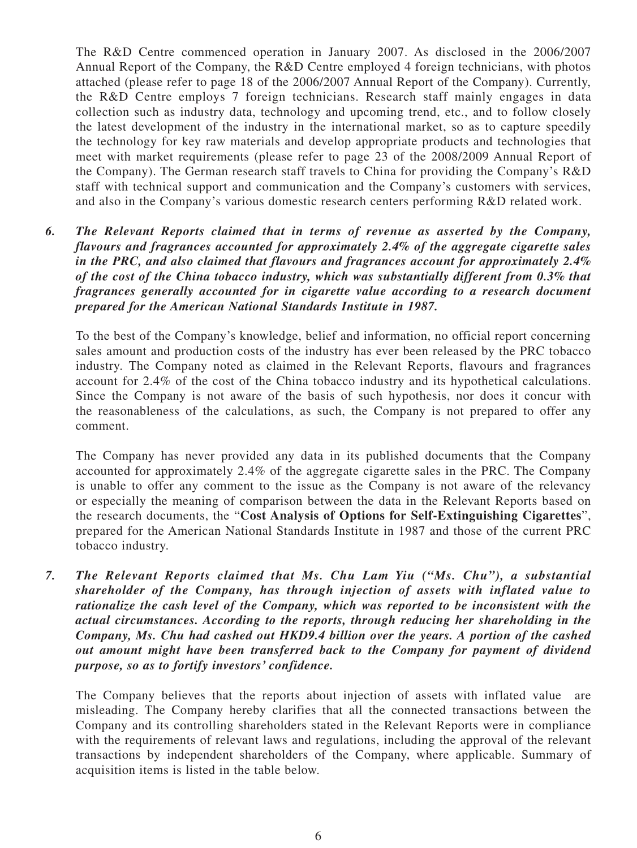The R&D Centre commenced operation in January 2007. As disclosed in the 2006/2007 Annual Report of the Company, the R&D Centre employed 4 foreign technicians, with photos attached (please refer to page 18 of the 2006/2007 Annual Report of the Company). Currently, the R&D Centre employs 7 foreign technicians. Research staff mainly engages in data collection such as industry data, technology and upcoming trend, etc., and to follow closely the latest development of the industry in the international market, so as to capture speedily the technology for key raw materials and develop appropriate products and technologies that meet with market requirements (please refer to page 23 of the 2008/2009 Annual Report of the Company). The German research staff travels to China for providing the Company's R&D staff with technical support and communication and the Company's customers with services, and also in the Company's various domestic research centers performing R&D related work.

*6. The Relevant Reports claimed that in terms of revenue as asserted by the Company, flavours and fragrances accounted for approximately 2.4% of the aggregate cigarette sales in the PRC, and also claimed that flavours and fragrances account for approximately 2.4% of the cost of the China tobacco industry, which was substantially different from 0.3% that fragrances generally accounted for in cigarette value according to a research document prepared for the American National Standards Institute in 1987.*

To the best of the Company's knowledge, belief and information, no official report concerning sales amount and production costs of the industry has ever been released by the PRC tobacco industry. The Company noted as claimed in the Relevant Reports, flavours and fragrances account for 2.4% of the cost of the China tobacco industry and its hypothetical calculations. Since the Company is not aware of the basis of such hypothesis, nor does it concur with the reasonableness of the calculations, as such, the Company is not prepared to offer any comment.

The Company has never provided any data in its published documents that the Company accounted for approximately 2.4% of the aggregate cigarette sales in the PRC. The Company is unable to offer any comment to the issue as the Company is not aware of the relevancy or especially the meaning of comparison between the data in the Relevant Reports based on the research documents, the "**Cost Analysis of Options for Self-Extinguishing Cigarettes**", prepared for the American National Standards Institute in 1987 and those of the current PRC tobacco industry.

*7. The Relevant Reports claimed that Ms. Chu Lam Yiu ("Ms. Chu"), a substantial shareholder of the Company, has through injection of assets with inflated value to rationalize the cash level of the Company, which was reported to be inconsistent with the actual circumstances. According to the reports, through reducing her shareholding in the Company, Ms. Chu had cashed out HKD9.4 billion over the years. A portion of the cashed out amount might have been transferred back to the Company for payment of dividend purpose, so as to fortify investors' confidence.*

The Company believes that the reports about injection of assets with inflated value are misleading. The Company hereby clarifies that all the connected transactions between the Company and its controlling shareholders stated in the Relevant Reports were in compliance with the requirements of relevant laws and regulations, including the approval of the relevant transactions by independent shareholders of the Company, where applicable. Summary of acquisition items is listed in the table below.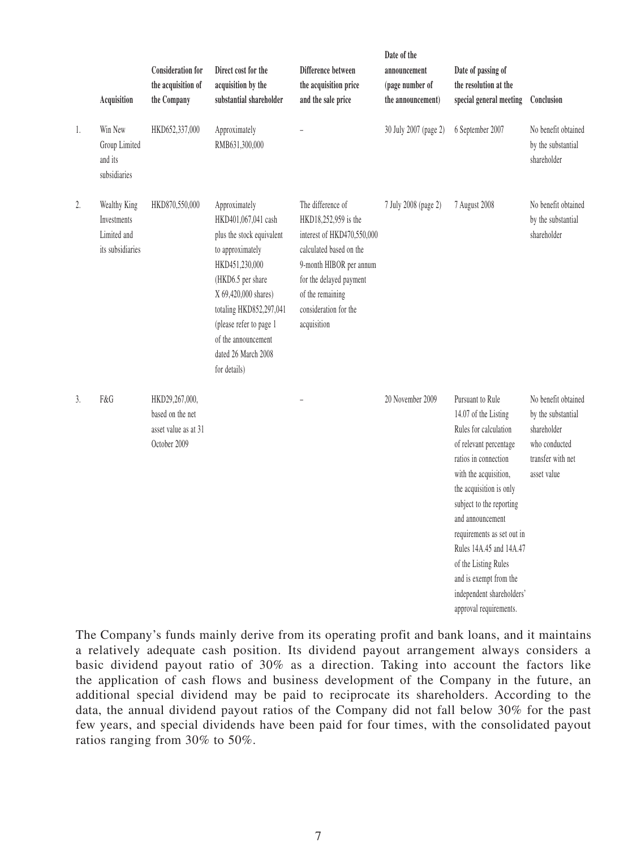|    | Acquisition                                                    | <b>Consideration for</b><br>the acquisition of<br>the Company              | Direct cost for the<br>acquisition by the<br>substantial shareholder                                                                                                                                                                                                     | Difference between<br>the acquisition price<br>and the sale price                                                                                                                                                    | Date of the<br>announcement<br>(page number of<br>the announcement) | Date of passing of<br>the resolution at the<br>special general meeting                                                                                                                                                                                                                                                                                                                    | Conclusion                                                                                                    |
|----|----------------------------------------------------------------|----------------------------------------------------------------------------|--------------------------------------------------------------------------------------------------------------------------------------------------------------------------------------------------------------------------------------------------------------------------|----------------------------------------------------------------------------------------------------------------------------------------------------------------------------------------------------------------------|---------------------------------------------------------------------|-------------------------------------------------------------------------------------------------------------------------------------------------------------------------------------------------------------------------------------------------------------------------------------------------------------------------------------------------------------------------------------------|---------------------------------------------------------------------------------------------------------------|
| 1. | Win New<br>Group Limited<br>and its<br>subsidiaries            | HKD652,337,000                                                             | Approximately<br>RMB631,300,000                                                                                                                                                                                                                                          |                                                                                                                                                                                                                      | 30 July 2007 (page 2)                                               | 6 September 2007                                                                                                                                                                                                                                                                                                                                                                          | No benefit obtained<br>by the substantial<br>shareholder                                                      |
| 2. | Wealthy King<br>Investments<br>Limited and<br>its subsidiaries | HKD870,550,000                                                             | Approximately<br>HKD401,067,041 cash<br>plus the stock equivalent<br>to approximately<br>HKD451,230,000<br>(HKD6.5 per share<br>X 69,420,000 shares)<br>totaling HKD852,297,041<br>(please refer to page 1<br>of the announcement<br>dated 26 March 2008<br>for details) | The difference of<br>HKD18,252,959 is the<br>interest of HKD470,550,000<br>calculated based on the<br>9-month HIBOR per annum<br>for the delayed payment<br>of the remaining<br>consideration for the<br>acquisition | 7 July 2008 (page 2)                                                | 7 August 2008                                                                                                                                                                                                                                                                                                                                                                             | No benefit obtained<br>by the substantial<br>shareholder                                                      |
| 3. | F&G                                                            | HKD29,267,000,<br>based on the net<br>asset value as at 31<br>October 2009 |                                                                                                                                                                                                                                                                          |                                                                                                                                                                                                                      | 20 November 2009                                                    | Pursuant to Rule<br>14.07 of the Listing<br>Rules for calculation<br>of relevant percentage<br>ratios in connection<br>with the acquisition,<br>the acquisition is only<br>subject to the reporting<br>and announcement<br>requirements as set out in<br>Rules 14A.45 and 14A.47<br>of the Listing Rules<br>and is exempt from the<br>independent shareholders'<br>approval requirements. | No benefit obtained<br>by the substantial<br>shareholder<br>who conducted<br>transfer with net<br>asset value |

The Company's funds mainly derive from its operating profit and bank loans, and it maintains a relatively adequate cash position. Its dividend payout arrangement always considers a basic dividend payout ratio of 30% as a direction. Taking into account the factors like the application of cash flows and business development of the Company in the future, an additional special dividend may be paid to reciprocate its shareholders. According to the data, the annual dividend payout ratios of the Company did not fall below 30% for the past few years, and special dividends have been paid for four times, with the consolidated payout ratios ranging from 30% to 50%.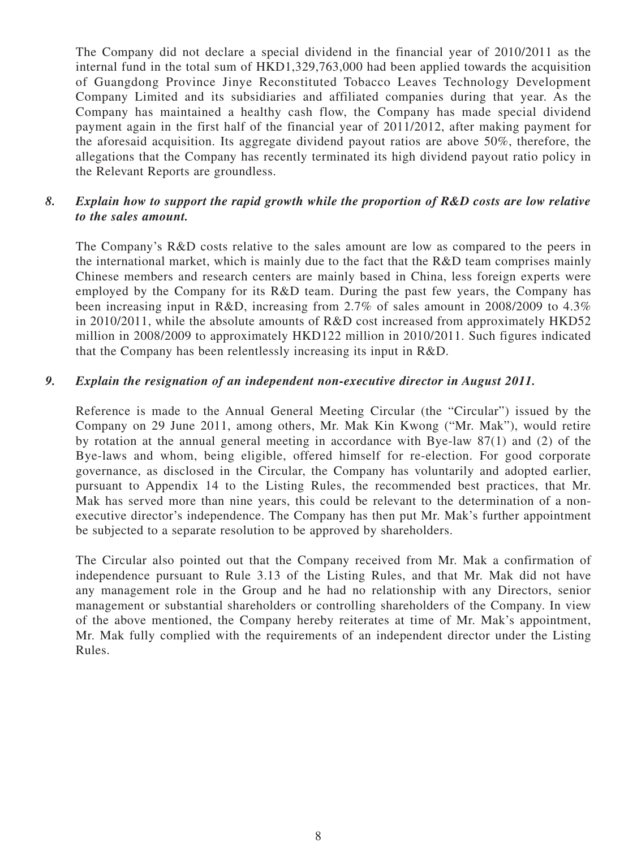The Company did not declare a special dividend in the financial year of 2010/2011 as the internal fund in the total sum of HKD1,329,763,000 had been applied towards the acquisition of Guangdong Province Jinye Reconstituted Tobacco Leaves Technology Development Company Limited and its subsidiaries and affiliated companies during that year. As the Company has maintained a healthy cash flow, the Company has made special dividend payment again in the first half of the financial year of 2011/2012, after making payment for the aforesaid acquisition. Its aggregate dividend payout ratios are above 50%, therefore, the allegations that the Company has recently terminated its high dividend payout ratio policy in the Relevant Reports are groundless.

#### *8. Explain how to support the rapid growth while the proportion of R&D costs are low relative to the sales amount.*

The Company's R&D costs relative to the sales amount are low as compared to the peers in the international market, which is mainly due to the fact that the R&D team comprises mainly Chinese members and research centers are mainly based in China, less foreign experts were employed by the Company for its R&D team. During the past few years, the Company has been increasing input in R&D, increasing from 2.7% of sales amount in 2008/2009 to 4.3% in 2010/2011, while the absolute amounts of R&D cost increased from approximately HKD52 million in 2008/2009 to approximately HKD122 million in 2010/2011. Such figures indicated that the Company has been relentlessly increasing its input in R&D.

#### *9. Explain the resignation of an independent non-executive director in August 2011.*

Reference is made to the Annual General Meeting Circular (the "Circular") issued by the Company on 29 June 2011, among others, Mr. Mak Kin Kwong ("Mr. Mak"), would retire by rotation at the annual general meeting in accordance with Bye-law 87(1) and (2) of the Bye-laws and whom, being eligible, offered himself for re-election. For good corporate governance, as disclosed in the Circular, the Company has voluntarily and adopted earlier, pursuant to Appendix 14 to the Listing Rules, the recommended best practices, that Mr. Mak has served more than nine years, this could be relevant to the determination of a nonexecutive director's independence. The Company has then put Mr. Mak's further appointment be subjected to a separate resolution to be approved by shareholders.

The Circular also pointed out that the Company received from Mr. Mak a confirmation of independence pursuant to Rule 3.13 of the Listing Rules, and that Mr. Mak did not have any management role in the Group and he had no relationship with any Directors, senior management or substantial shareholders or controlling shareholders of the Company. In view of the above mentioned, the Company hereby reiterates at time of Mr. Mak's appointment, Mr. Mak fully complied with the requirements of an independent director under the Listing Rules.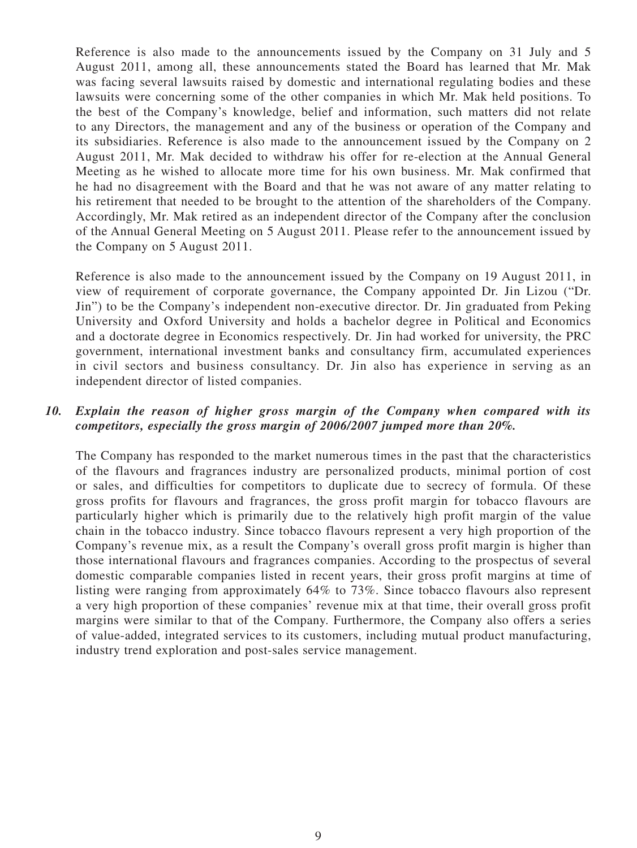Reference is also made to the announcements issued by the Company on 31 July and 5 August 2011, among all, these announcements stated the Board has learned that Mr. Mak was facing several lawsuits raised by domestic and international regulating bodies and these lawsuits were concerning some of the other companies in which Mr. Mak held positions. To the best of the Company's knowledge, belief and information, such matters did not relate to any Directors, the management and any of the business or operation of the Company and its subsidiaries. Reference is also made to the announcement issued by the Company on 2 August 2011, Mr. Mak decided to withdraw his offer for re-election at the Annual General Meeting as he wished to allocate more time for his own business. Mr. Mak confirmed that he had no disagreement with the Board and that he was not aware of any matter relating to his retirement that needed to be brought to the attention of the shareholders of the Company. Accordingly, Mr. Mak retired as an independent director of the Company after the conclusion of the Annual General Meeting on 5 August 2011. Please refer to the announcement issued by the Company on 5 August 2011.

Reference is also made to the announcement issued by the Company on 19 August 2011, in view of requirement of corporate governance, the Company appointed Dr. Jin Lizou ("Dr. Jin") to be the Company's independent non-executive director. Dr. Jin graduated from Peking University and Oxford University and holds a bachelor degree in Political and Economics and a doctorate degree in Economics respectively. Dr. Jin had worked for university, the PRC government, international investment banks and consultancy firm, accumulated experiences in civil sectors and business consultancy. Dr. Jin also has experience in serving as an independent director of listed companies.

#### *10. Explain the reason of higher gross margin of the Company when compared with its competitors, especially the gross margin of 2006/2007 jumped more than 20%.*

The Company has responded to the market numerous times in the past that the characteristics of the flavours and fragrances industry are personalized products, minimal portion of cost or sales, and difficulties for competitors to duplicate due to secrecy of formula. Of these gross profits for flavours and fragrances, the gross profit margin for tobacco flavours are particularly higher which is primarily due to the relatively high profit margin of the value chain in the tobacco industry. Since tobacco flavours represent a very high proportion of the Company's revenue mix, as a result the Company's overall gross profit margin is higher than those international flavours and fragrances companies. According to the prospectus of several domestic comparable companies listed in recent years, their gross profit margins at time of listing were ranging from approximately 64% to 73%. Since tobacco flavours also represent a very high proportion of these companies' revenue mix at that time, their overall gross profit margins were similar to that of the Company. Furthermore, the Company also offers a series of value-added, integrated services to its customers, including mutual product manufacturing, industry trend exploration and post-sales service management.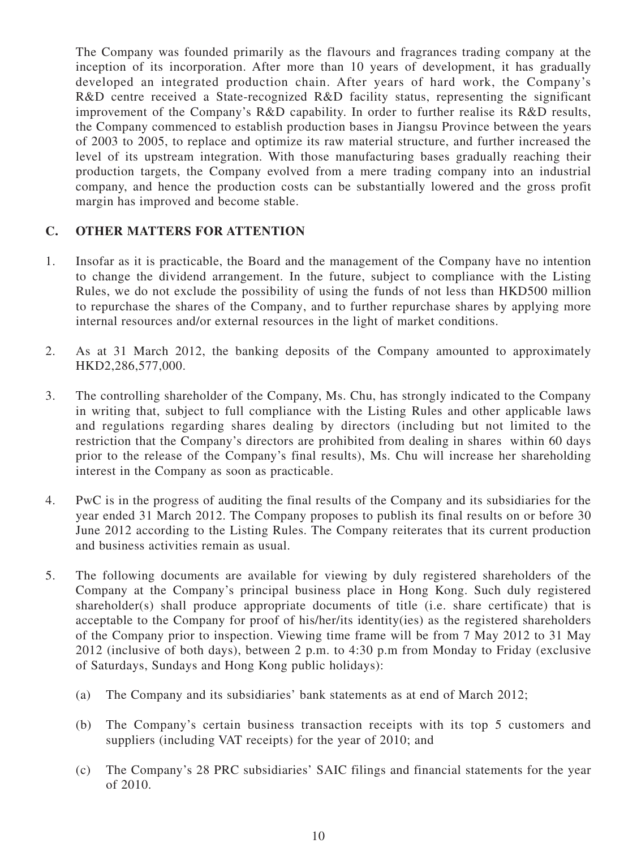The Company was founded primarily as the flavours and fragrances trading company at the inception of its incorporation. After more than 10 years of development, it has gradually developed an integrated production chain. After years of hard work, the Company's R&D centre received a State-recognized R&D facility status, representing the significant improvement of the Company's R&D capability. In order to further realise its R&D results, the Company commenced to establish production bases in Jiangsu Province between the years of 2003 to 2005, to replace and optimize its raw material structure, and further increased the level of its upstream integration. With those manufacturing bases gradually reaching their production targets, the Company evolved from a mere trading company into an industrial company, and hence the production costs can be substantially lowered and the gross profit margin has improved and become stable.

#### **C. other MATTERS for attention**

- 1. Insofar as it is practicable, the Board and the management of the Company have no intention to change the dividend arrangement. In the future, subject to compliance with the Listing Rules, we do not exclude the possibility of using the funds of not less than HKD500 million to repurchase the shares of the Company, and to further repurchase shares by applying more internal resources and/or external resources in the light of market conditions.
- 2. As at 31 March 2012, the banking deposits of the Company amounted to approximately HKD2,286,577,000.
- 3. The controlling shareholder of the Company, Ms. Chu, has strongly indicated to the Company in writing that, subject to full compliance with the Listing Rules and other applicable laws and regulations regarding shares dealing by directors (including but not limited to the restriction that the Company's directors are prohibited from dealing in shares within 60 days prior to the release of the Company's final results), Ms. Chu will increase her shareholding interest in the Company as soon as practicable.
- 4. PwC is in the progress of auditing the final results of the Company and its subsidiaries for the year ended 31 March 2012. The Company proposes to publish its final results on or before 30 June 2012 according to the Listing Rules. The Company reiterates that its current production and business activities remain as usual.
- 5. The following documents are available for viewing by duly registered shareholders of the Company at the Company's principal business place in Hong Kong. Such duly registered shareholder(s) shall produce appropriate documents of title (i.e. share certificate) that is acceptable to the Company for proof of his/her/its identity(ies) as the registered shareholders of the Company prior to inspection. Viewing time frame will be from 7 May 2012 to 31 May 2012 (inclusive of both days), between 2 p.m. to 4:30 p.m from Monday to Friday (exclusive of Saturdays, Sundays and Hong Kong public holidays):
	- (a) The Company and its subsidiaries' bank statements as at end of March 2012;
	- (b) The Company's certain business transaction receipts with its top 5 customers and suppliers (including VAT receipts) for the year of 2010; and
	- (c) The Company's 28 PRC subsidiaries' SAIC filings and financial statements for the year of 2010.